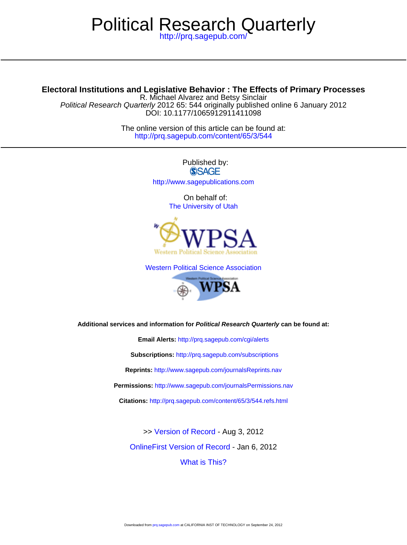# Political Research Quarterly

<http://prq.sagepub.com/>

R. Michael Alvarez and Betsy Sinclair **Electoral Institutions and Legislative Behavior : The Effects of Primary Processes**

DOI: 10.1177/1065912911411098 Political Research Quarterly 2012 65: 544 originally published online 6 January 2012

> <http://prq.sagepub.com/content/65/3/544> The online version of this article can be found at:

> > Published by: **SSAGE** <http://www.sagepublications.com> On behalf of:

> > > [The University of Utah](http://www.poli-sci.utah.edu/)

[Western Political Science Association](http://wpsa.research.pdx.edu/)

Wester



**Additional services and information for Political Research Quarterly can be found at:**

**Email Alerts:** <http://prq.sagepub.com/cgi/alerts> **Subscriptions:** <http://prq.sagepub.com/subscriptions> **Reprints:** <http://www.sagepub.com/journalsReprints.nav> **Permissions:** <http://www.sagepub.com/journalsPermissions.nav> **Citations:** <http://prq.sagepub.com/content/65/3/544.refs.html>

[What is This?](http://online.sagepub.com/site/sphelp/vorhelp.xhtml) [OnlineFirst Version of Record -](http://prq.sagepub.com/content/early/2012/01/05/1065912911411098.full.pdf) Jan 6, 2012 >> [Version of Record -](http://prq.sagepub.com/content/65/3/544.full.pdf) Aug 3, 2012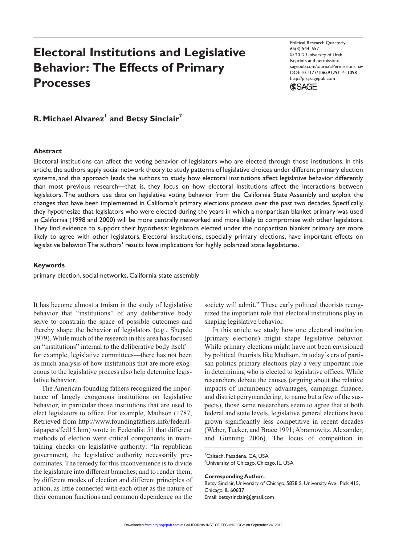# **Electoral Institutions and Legislative Behavior: The Effects of Primary Processes**

Political Research Quarterly 65(3) 544–557 © 2012 University of Utah Reprints and permission: sagepub.com/journalsPermissions.nav DOI: 10.1177/1065912911411098 http://prq.sagepub.com



**R. Michael Alvarez<sup>1</sup> and Betsy Sinclair<sup>2</sup>** 

#### **Abstract**

Electoral institutions can affect the voting behavior of legislators who are elected through those institutions. In this article, the authors apply social network theory to study patterns of legislative choices under different primary election systems, and this approach leads the authors to study how electoral institutions affect legislative behavior differently than most previous research—that is, they focus on how electoral institutions affect the interactions between legislators. The authors use data on legislative voting behavior from the California State Assembly and exploit the changes that have been implemented in California's primary elections process over the past two decades. Specifically, they hypothesize that legislators who were elected during the years in which a nonpartisan blanket primary was used in California (1998 and 2000) will be more centrally networked and more likely to compromise with other legislators. They find evidence to support their hypothesis: legislators elected under the nonpartisan blanket primary are more likely to agree with other legislators. Electoral institutions, especially primary elections, have important effects on legislative behavior. The authors' results have implications for highly polarized state legislatures.

#### **Keywords**

primary election, social networks, California state assembly

It has become almost a truism in the study of legislative behavior that "institutions" of any deliberative body serve to constrain the space of possible outcomes and thereby shape the behavior of legislators (e.g., Shepsle 1979). While much of the research in this area has focused on "institutions" internal to the deliberative body itself for example, legislative committees—there has not been as much analysis of how institutions that are more exogenous to the legislative process also help determine legislative behavior.

The American founding fathers recognized the importance of largely exogenous institutions on legislative behavior, in particular those institutions that are used to elect legislators to office. For example, Madison (1787, Retrieved from http://www.foundingfathers.info/federalistpapers/fed15.htm) wrote in Federalist 51 that different methods of election were critical components in maintaining checks on legislative authority: "In republican government, the legislative authority necessarily predominates. The remedy for this inconvenience is to divide the legislature into different branches; and to render them, by different modes of election and different principles of action, as little connected with each other as the nature of their common functions and common dependence on the

society will admit." These early political theorists recognized the important role that electoral institutions play in shaping legislative behavior.

In this article we study how one electoral institution (primary elections) might shape legislative behavior. While primary elections might have not been envisioned by political theorists like Madison, in today's era of partisan politics primary elections play a very important role in determining who is elected to legislative offices. While researchers debate the causes (arguing about the relative impacts of incumbency advantages, campaign finance, and district gerrymandering, to name but a few of the suspects), those same researchers seem to agree that at both federal and state levels, legislative general elections have grown significantly less competitive in recent decades (Weber, Tucker, and Brace 1991; Abramowitz, Alexander, and Gunning 2006). The locus of competition in

**Corresponding Author:**

Betsy Sinclair, University of Chicago, 5828 S. University Ave., Pick 415, Chicago, IL 60637 Email: betsysinclair@gmail.com

<sup>1</sup> Caltech, Pasadena, CA, USA <sup>2</sup>University of Chicago, Chicago, IL, USA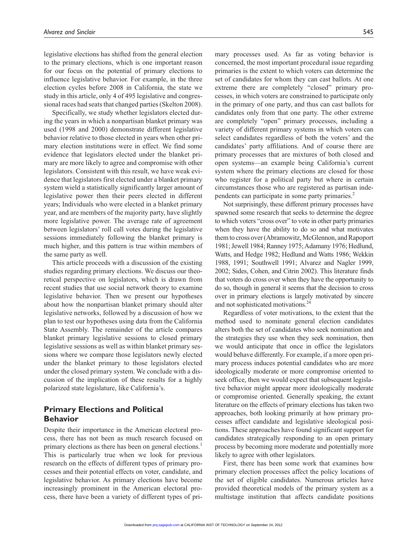legislative elections has shifted from the general election to the primary elections, which is one important reason for our focus on the potential of primary elections to influence legislative behavior. For example, in the three election cycles before 2008 in California, the state we study in this article, only 4 of 495 legislative and congressional races had seats that changed parties (Skelton 2008).

Specifically, we study whether legislators elected during the years in which a nonpartisan blanket primary was used (1998 and 2000) demonstrate different legislative behavior relative to those elected in years when other primary election institutions were in effect. We find some evidence that legislators elected under the blanket primary are more likely to agree and compromise with other legislators. Consistent with this result, we have weak evidence that legislators first elected under a blanket primary system wield a statistically significantly larger amount of legislative power then their peers elected in different years; Individuals who were elected in a blanket primary year, and are members of the majority party, have slightly more legislative power. The average rate of agreement between legislators' roll call votes during the legislative sessions immediately following the blanket primary is much higher, and this pattern is true within members of the same party as well.

This article proceeds with a discussion of the existing studies regarding primary elections. We discuss our theoretical perspective on legislators, which is drawn from recent studies that use social network theory to examine legislative behavior. Then we present our hypotheses about how the nonpartisan blanket primary should alter legislative networks, followed by a discussion of how we plan to test our hypotheses using data from the California State Assembly. The remainder of the article compares blanket primary legislative sessions to closed primary legislative sessions as well as within blanket primary sessions where we compare those legislators newly elected under the blanket primary to those legislators elected under the closed primary system. We conclude with a discussion of the implication of these results for a highly polarized state legislature, like California's.

# **Primary Elections and Political Behavior**

Despite their importance in the American electoral process, there has not been as much research focused on primary elections as there has been on general elections.<sup>1</sup> This is particularly true when we look for previous research on the effects of different types of primary processes and their potential effects on voter, candidate, and legislative behavior. As primary elections have become increasingly prominent in the American electoral process, there have been a variety of different types of primary processes used. As far as voting behavior is concerned, the most important procedural issue regarding primaries is the extent to which voters can determine the set of candidates for whom they can cast ballots. At one extreme there are completely "closed" primary processes, in which voters are constrained to participate only in the primary of one party, and thus can cast ballots for candidates only from that one party. The other extreme are completely "open" primary processes, including a variety of different primary systems in which voters can select candidates regardless of both the voters' and the candidates' party affiliations. And of course there are primary processes that are mixtures of both closed and open systems—an example being California's current system where the primary elections are closed for those who register for a political party but where in certain circumstances those who are registered as partisan independents can participate in some party primaries.<sup>2</sup>

Not surprisingly, these different primary processes have spawned some research that seeks to determine the degree to which voters "cross over" to vote in other party primaries when they have the ability to do so and what motivates them to cross over (Abramowitz, McGlennon, and Rapoport 1981; Jewell 1984; Ranney 1975; Adamany 1976; Hedlund, Watts, and Hedge 1982; Hedlund and Watts 1986; Wekkin 1988, 1991; Southwell 1991; Alvarez and Nagler 1999, 2002; Sides, Cohen, and Citrin 2002). This literature finds that voters do cross over when they have the opportunity to do so, though in general it seems that the decision to cross over in primary elections is largely motivated by sincere and not sophisticated motivations.<sup>24</sup>

Regardless of voter motivations, to the extent that the method used to nominate general election candidates alters both the set of candidates who seek nomination and the strategies they use when they seek nomination, then we would anticipate that once in office the legislators would behave differently. For example, if a more open primary process induces potential candidates who are more ideologically moderate or more compromise oriented to seek office, then we would expect that subsequent legislative behavior might appear more ideologically moderate or compromise oriented. Generally speaking, the extant literature on the effects of primary elections has taken two approaches, both looking primarily at how primary processes affect candidate and legislative ideological positions. These approaches have found significant support for candidates strategically responding to an open primary process by becoming more moderate and potentially more likely to agree with other legislators.

First, there has been some work that examines how primary election processes affect the policy locations of the set of eligible candidates. Numerous articles have provided theoretical models of the primary system as a multistage institution that affects candidate positions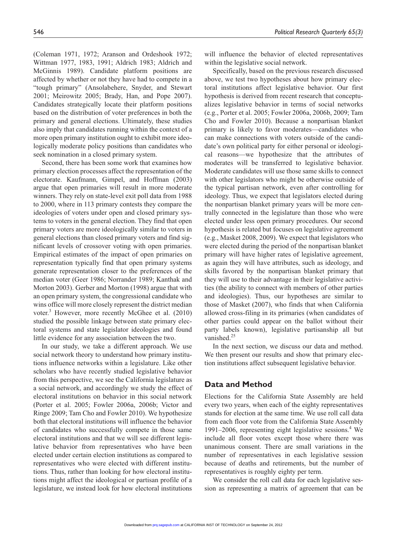(Coleman 1971, 1972; Aranson and Ordeshook 1972; Wittman 1977, 1983, 1991; Aldrich 1983; Aldrich and McGinnis 1989). Candidate platform positions are affected by whether or not they have had to compete in a "tough primary" (Ansolabehere, Snyder, and Stewart 2001; Meirowitz 2005; Brady, Han, and Pope 2007). Candidates strategically locate their platform positions based on the distribution of voter preferences in both the primary and general elections. Ultimately, these studies also imply that candidates running within the context of a more open primary institution ought to exhibit more ideologically moderate policy positions than candidates who seek nomination in a closed primary system.

Second, there has been some work that examines how primary election processes affect the representation of the electorate. Kaufmann, Gimpel, and Hoffman (2003) argue that open primaries will result in more moderate winners. They rely on state-level exit poll data from 1988 to 2000, where in 113 primary contests they compare the ideologies of voters under open and closed primary systems to voters in the general election. They find that open primary voters are more ideologically similar to voters in general elections than closed primary voters and find significant levels of crossover voting with open primaries. Empirical estimates of the impact of open primaries on representation typically find that open primary systems generate representation closer to the preferences of the median voter (Geer 1986; Norrander 1989; Kanthak and Morton 2003). Gerber and Morton (1998) argue that with an open primary system, the congressional candidate who wins office will more closely represent the district median voter.<sup>3</sup> However, more recently McGhee et al. (2010) studied the possible linkage between state primary electoral systems and state legislator ideologies and found little evidence for any association between the two.

In our study, we take a different approach. We use social network theory to understand how primary institutions influence networks within a legislature. Like other scholars who have recently studied legislative behavior from this perspective, we see the California legislature as a social network, and accordingly we study the effect of electoral institutions on behavior in this social network (Porter et al. 2005; Fowler 2006a, 2006b; Victor and Ringe 2009; Tam Cho and Fowler 2010). We hypothesize both that electoral institutions will influence the behavior of candidates who successfully compete in those same electoral institutions and that we will see different legislative behavior from representatives who have been elected under certain election institutions as compared to representatives who were elected with different institutions. Thus, rather than looking for how electoral institutions might affect the ideological or partisan profile of a legislature, we instead look for how electoral institutions will influence the behavior of elected representatives within the legislative social network.

Specifically, based on the previous research discussed above, we test two hypotheses about how primary electoral institutions affect legislative behavior. Our first hypothesis is derived from recent research that conceptualizes legislative behavior in terms of social networks (e.g., Porter et al. 2005; Fowler 2006a, 2006b, 2009; Tam Cho and Fowler 2010). Because a nonpartisan blanket primary is likely to favor moderates—candidates who can make connections with voters outside of the candidate's own political party for either personal or ideological reasons—we hypothesize that the attributes of moderates will be transferred to legislative behavior. Moderate candidates will use those same skills to connect with other legislators who might be otherwise outside of the typical partisan network, even after controlling for ideology. Thus, we expect that legislators elected during the nonpartisan blanket primary years will be more centrally connected in the legislature than those who were elected under less open primary procedures. Our second hypothesis is related but focuses on legislative agreement (e.g., Masket 2008, 2009). We expect that legislators who were elected during the period of the nonpartisan blanket primary will have higher rates of legislative agreement, as again they will have attributes, such as ideology, and skills favored by the nonpartisan blanket primary that they will use to their advantage in their legislative activities (the ability to connect with members of other parties and ideologies). Thus, our hypotheses are similar to those of Masket (2007), who finds that when California allowed cross-filing in its primaries (when candidates of other parties could appear on the ballot without their party labels known), legislative partisanship all but vanished.<sup>25</sup>

In the next section, we discuss our data and method. We then present our results and show that primary election institutions affect subsequent legislative behavior.

# **Data and Method**

Elections for the California State Assembly are held every two years, when each of the eighty representatives stands for election at the same time. We use roll call data from each floor vote from the California State Assembly 1991–2006, representing eight legislative sessions.<sup>4</sup> We include all floor votes except those where there was unanimous consent. There are small variations in the number of representatives in each legislative session because of deaths and retirements, but the number of representatives is roughly eighty per term.

We consider the roll call data for each legislative session as representing a matrix of agreement that can be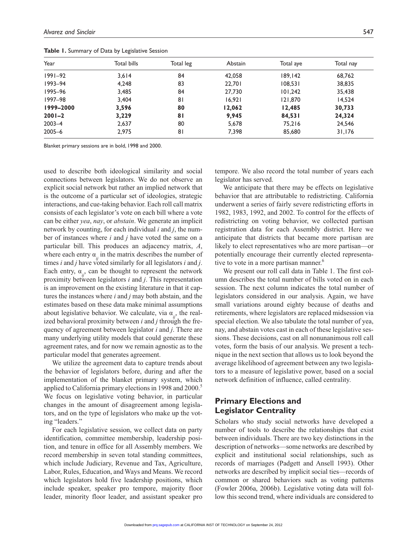| Year        | Total bills | Total leg | Abstain | Total aye | Total nay |
|-------------|-------------|-----------|---------|-----------|-----------|
| $1991 - 92$ | 3.614       | 84        | 42,058  | 189,142   | 68,762    |
| $1993 - 94$ | 4,248       | 83        | 22,701  | 108,531   | 38,835    |
| 1995-96     | 3,485       | 84        | 27,730  | 101,242   | 35,438    |
| 1997-98     | 3.404       | 81        | 16,921  | 121,870   | 14.524    |
| 1999-2000   | 3,596       | 80        | 12,062  | 12,485    | 30,733    |
| $2001 - 2$  | 3,229       | 81        | 9,945   | 84,531    | 24,324    |
| $2003 - 4$  | 2,637       | 80        | 5,678   | 75,216    | 24,546    |
| $2005 - 6$  | 2,975       | 81        | 7.398   | 85,680    | 31,176    |

**Table 1.** Summary of Data by Legislative Session

Blanket primary sessions are in bold, 1998 and 2000.

used to describe both ideological similarity and social connections between legislators. We do not observe an explicit social network but rather an implied network that is the outcome of a particular set of ideologies, strategic interactions, and cue-taking behavior. Each roll call matrix consists of each legislator's vote on each bill where a vote can be either *yea*, *nay*, or *abstain*. We generate an implicit network by counting, for each individual *i* and *j*, the number of instances where *i* and *j* have voted the same on a particular bill. This produces an adjacency matrix, *A*, where each entry  $\alpha_{ij}$  in the matrix describes the number of times *i* and *j* have voted similarly for all legislators *i* and *j*. Each entry,  $\alpha_{ij}$  can be thought to represent the network proximity between legislators *i* and *j*. This representation is an improvement on the existing literature in that it captures the instances where *i* and *j* may both abstain, and the estimates based on these data make minimal assumptions about legislative behavior. We calculate, via  $\alpha_{ij}$ , the realized behavioral proximity between *i* and *j* through the frequency of agreement between legislator *i* and *j*. There are many underlying utility models that could generate these agreement rates, and for now we remain agnostic as to the particular model that generates agreement.

We utilize the agreement data to capture trends about the behavior of legislators before, during and after the implementation of the blanket primary system, which applied to California primary elections in 1998 and 2000.<sup>5</sup> We focus on legislative voting behavior, in particular changes in the amount of disagreement among legislators, and on the type of legislators who make up the voting "leaders."

For each legislative session, we collect data on party identification, committee membership, leadership position, and tenure in office for all Assembly members. We record membership in seven total standing committees, which include Judiciary, Revenue and Tax, Agriculture, Labor, Rules, Education, and Ways and Means. We record which legislators hold five leadership positions, which include speaker, speaker pro tempore, majority floor leader, minority floor leader, and assistant speaker pro

tempore. We also record the total number of years each legislator has served.

We anticipate that there may be effects on legislative behavior that are attributable to redistricting. California underwent a series of fairly severe redistricting efforts in 1982, 1983, 1992, and 2002. To control for the effects of redistricting on voting behavior, we collected partisan registration data for each Assembly district. Here we anticipate that districts that became more partisan are likely to elect representatives who are more partisan—or potentially encourage their currently elected representative to vote in a more partisan manner.<sup>6</sup>

We present our roll call data in Table 1. The first column describes the total number of bills voted on in each session. The next column indicates the total number of legislators considered in our analysis. Again, we have small variations around eighty because of deaths and retirements, where legislators are replaced midsession via special election. We also tabulate the total number of yea, nay, and abstain votes cast in each of these legislative sessions. These decisions, cast on all nonunanimous roll call votes, form the basis of our analysis. We present a technique in the next section that allows us to look beyond the average likelihood of agreement between any two legislators to a measure of legislative power, based on a social network definition of influence, called centrality.

# **Primary Elections and Legislator Centrality**

Scholars who study social networks have developed a number of tools to describe the relationships that exist between individuals. There are two key distinctions in the description of networks—some networks are described by explicit and institutional social relationships, such as records of marriages (Padgett and Ansell 1993). Other networks are described by implicit social ties—records of common or shared behaviors such as voting patterns (Fowler 2006a, 2006b). Legislative voting data will follow this second trend, where individuals are considered to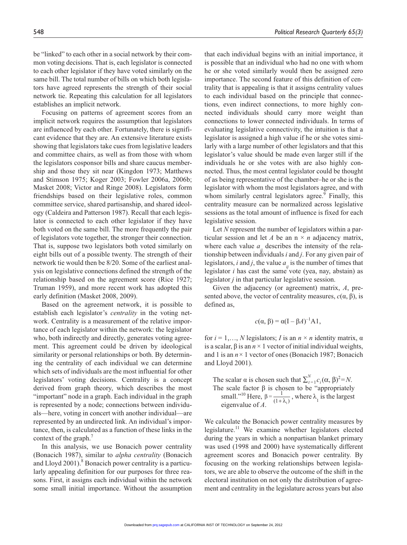be "linked" to each other in a social network by their common voting decisions. That is, each legislator is connected to each other legislator if they have voted similarly on the same bill. The total number of bills on which both legislators have agreed represents the strength of their social network tie. Repeating this calculation for all legislators establishes an implicit network.

Focusing on patterns of agreement scores from an implicit network requires the assumption that legislators are influenced by each other. Fortunately, there is significant evidence that they are. An extensive literature exists showing that legislators take cues from legislative leaders and committee chairs, as well as from those with whom the legislators cosponsor bills and share caucus membership and those they sit near (Kingdon 1973; Matthews and Stimson 1975; Koger 2003; Fowler 2006a, 2006b; Masket 2008; Victor and Ringe 2008). Legislators form friendships based on their legislative roles, common committee service, shared partisanship, and shared ideology (Caldeira and Patterson 1987). Recall that each legislator is connected to each other legislator if they have both voted on the same bill. The more frequently the pair of legislators vote together, the stronger their connection. That is, suppose two legislators both voted similarly on eight bills out of a possible twenty. The strength of their network tie would then be 8/20. Some of the earliest analysis on legislative connections defined the strength of the relationship based on the agreement score (Rice 1927; Truman 1959), and more recent work has adopted this early definition (Masket 2008, 2009).

Based on the agreement network, it is possible to establish each legislator's *centrality* in the voting network. Centrality is a measurement of the relative importance of each legislator within the network: the legislator who, both indirectly and directly, generates voting agreement. This agreement could be driven by ideological similarity or personal relationships or both. By determining the centrality of each individual we can determine which sets of individuals are the most influential for other legislators' voting decisions. Centrality is a concept derived from graph theory, which describes the most "important" node in a graph. Each individual in the graph is represented by a node; connections between individuals—here, voting in concert with another individual—are represented by an undirected link. An individual's importance, then, is calculated as a function of these links in the context of the graph.<sup>7</sup>

In this analysis, we use Bonacich power centrality (Bonacich 1987), similar to *alpha centrality* (Bonacich and Lloyd 2001).<sup>8</sup> Bonacich power centrality is a particularly appealing definition for our purposes for three reasons. First, it assigns each individual within the network some small initial importance. Without the assumption that each individual begins with an initial importance, it is possible that an individual who had no one with whom he or she voted similarly would then be assigned zero importance. The second feature of this definition of centrality that is appealing is that it assigns centrality values to each individual based on the principle that connections, even indirect connections, to more highly connected individuals should carry more weight than connections to lower connected individuals. In terms of evaluating legislative connectivity, the intuition is that a legislator is assigned a high value if he or she votes similarly with a large number of other legislators and that this legislator's value should be made even larger still if the individuals he or she votes with are also highly connected. Thus, the most central legislator could be thought of as being representative of the chamber–he or she is the legislator with whom the most legislators agree, and with whom similarly central legislators agree.<sup>9</sup> Finally, this centrality measure can be normalized across legislative sessions as the total amount of influence is fixed for each legislative session.

Let *N* represent the number of legislators within a particular session and let *A* be an  $n \times n$  adjacency matrix, where each value  $a_n$  describes the intensity of the relationship between individuals  $i$  and  $j$ . For any given pair of legislators, *i* and *j*, the value  $a_{ij}$  is the number of times that legislator *i* has cast the same vote (yea, nay, abstain) as legislator *j* in that particular legislative session.

Given the adjacency (or agreement) matrix, *A*, presented above, the vector of centrality measures,  $c(\alpha, \beta)$ , is defined as,

$$
c(\alpha, \beta) = \alpha (I - \beta A)^{-1} A 1,
$$

for *i* = 1,…, *N* legislators; *I* is an *n* × *n* identity matrix, α is a scalar,  $β$  is an  $n \times 1$  vector of initial individual weights, and 1 is an *n×* 1 vector of ones (Bonacich 1987; Bonacich and Lloyd 2001).

The scalar  $\alpha$  is chosen such that  $\sum_{i=1}^{N} c_i(\alpha, \beta)^2 = N$ . The scale factor  $\beta$  is chosen to be "appropriately" small."<sup>10</sup> Here,  $\beta = \frac{1}{(1 + \lambda_1)}$ , where  $\lambda_1$  is the largest eigenvalue of *A*.

We calculate the Bonacich power centrality measures by legislature.<sup>11</sup> We examine whether legislators elected during the years in which a nonpartisan blanket primary was used (1998 and 2000) have systematically different agreement scores and Bonacich power centrality. By focusing on the working relationships between legislators, we are able to observe the outcome of the shift in the electoral institution on not only the distribution of agreement and centrality in the legislature across years but also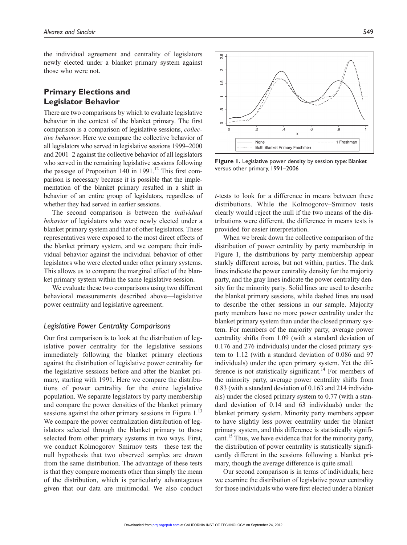the individual agreement and centrality of legislators newly elected under a blanket primary system against those who were not.

# **Primary Elections and Legislator Behavior**

There are two comparisons by which to evaluate legislative behavior in the context of the blanket primary. The first comparison is a comparison of legislative sessions, *collective behavior*. Here we compare the collective behavior of all legislators who served in legislative sessions 1999–2000 and 2001–2 against the collective behavior of all legislators who served in the remaining legislative sessions following the passage of Proposition 140 in  $1991<sup>12</sup>$  This first comparison is necessary because it is possible that the implementation of the blanket primary resulted in a shift in behavior of an entire group of legislators, regardless of whether they had served in earlier sessions.

The second comparison is between the *individual behavior* of legislators who were newly elected under a blanket primary system and that of other legislators. These representatives were exposed to the most direct effects of the blanket primary system, and we compare their individual behavior against the individual behavior of other legislators who were elected under other primary systems. This allows us to compare the marginal effect of the blanket primary system within the same legislative session.

We evaluate these two comparisons using two different behavioral measurements described above—legislative power centrality and legislative agreement.

# *Legislative Power Centrality Comparisons*

Our first comparison is to look at the distribution of legislative power centrality for the legislative sessions immediately following the blanket primary elections against the distribution of legislative power centrality for the legislative sessions before and after the blanket primary, starting with 1991. Here we compare the distributions of power centrality for the entire legislative population. We separate legislators by party membership and compare the power densities of the blanket primary sessions against the other primary sessions in Figure  $1<sup>13</sup>$ We compare the power centralization distribution of legislators selected through the blanket primary to those selected from other primary systems in two ways. First, we conduct Kolmogorov–Smirnov tests—these test the null hypothesis that two observed samples are drawn from the same distribution. The advantage of these tests is that they compare moments other than simply the mean of the distribution, which is particularly advantageous given that our data are multimodal. We also conduct



**Figure 1.** Legislative power density by session type: Blanket versus other primary, 1991–2006

*t*-tests to look for a difference in means between these distributions. While the Kolmogorov–Smirnov tests clearly would reject the null if the two means of the distributions were different, the difference in means tests is provided for easier interpretation.

When we break down the collective comparison of the distribution of power centrality by party membership in Figure 1, the distributions by party membership appear starkly different across, but not within, parties. The dark lines indicate the power centrality density for the majority party, and the gray lines indicate the power centrality density for the minority party. Solid lines are used to describe the blanket primary sessions, while dashed lines are used to describe the other sessions in our sample. Majority party members have no more power centrality under the blanket primary system than under the closed primary system. For members of the majority party, average power centrality shifts from 1.09 (with a standard deviation of 0.176 and 276 individuals) under the closed primary system to 1.12 (with a standard deviation of 0.086 and 97 individuals) under the open primary system. Yet the difference is not statistically significant.<sup>14</sup> For members of the minority party, average power centrality shifts from 0.83 (with a standard deviation of 0.163 and 214 individuals) under the closed primary system to 0.77 (with a standard deviation of 0.14 and 63 individuals) under the blanket primary system. Minority party members appear to have slightly less power centrality under the blanket primary system, and this difference is statistically significant.<sup>15</sup> Thus, we have evidence that for the minority party, the distribution of power centrality is statistically significantly different in the sessions following a blanket primary, though the average difference is quite small.

Our second comparison is in terms of individuals; here we examine the distribution of legislative power centrality for those individuals who were first elected under a blanket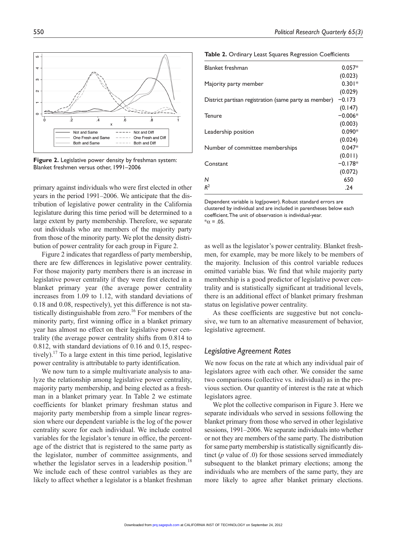

**Figure 2.** Legislative power density by freshman system: Blanket freshmen versus other, 1991–2006

primary against individuals who were first elected in other years in the period 1991–2006. We anticipate that the distribution of legislative power centrality in the California legislature during this time period will be determined to a large extent by party membership. Therefore, we separate out individuals who are members of the majority party from those of the minority party. We plot the density distribution of power centrality for each group in Figure 2.

Figure 2 indicates that regardless of party membership, there are few differences in legislative power centrality. For those majority party members there is an increase in legislative power centrality if they were first elected in a blanket primary year (the average power centrality increases from 1.09 to 1.12, with standard deviations of 0.18 and 0.08, respectively), yet this difference is not statistically distinguishable from zero.<sup>16</sup> For members of the minority party, first winning office in a blanket primary year has almost no effect on their legislative power centrality (the average power centrality shifts from 0.814 to 0.812, with standard deviations of 0.16 and 0.15, respectively). $17$  To a large extent in this time period, legislative power centrality is attributable to party identification.

We now turn to a simple multivariate analysis to analyze the relationship among legislative power centrality, majority party membership, and being elected as a freshman in a blanket primary year. In Table 2 we estimate coefficients for blanket primary freshman status and majority party membership from a simple linear regression where our dependent variable is the log of the power centrality score for each individual. We include control variables for the legislator's tenure in office, the percentage of the district that is registered to the same party as the legislator, number of committee assignments, and whether the legislator serves in a leadership position.<sup>18</sup> We include each of these control variables as they are likely to affect whether a legislator is a blanket freshman

| Table 2. Ordinary Least Squares Regression Coefficients |  |  |  |
|---------------------------------------------------------|--|--|--|
|---------------------------------------------------------|--|--|--|

| <b>Blanket freshman</b>                               | $0.057*$  |
|-------------------------------------------------------|-----------|
|                                                       | (0.023)   |
| Majority party member                                 | $0.301*$  |
|                                                       | (0.029)   |
| District partisan registration (same party as member) | $-0.173$  |
|                                                       | (0.147)   |
| <b>Tenure</b>                                         | $-0.006*$ |
|                                                       | (0.003)   |
| Leadership position                                   | $0.090*$  |
|                                                       | (0.024)   |
| Number of committee memberships                       | $0.047*$  |
|                                                       | (0.011)   |
| Constant                                              | $-0.178*$ |
|                                                       | (0.072)   |
| N                                                     | 650       |
| $R^2$                                                 | .24       |

Dependent variable is log(power). Robust standard errors are clustered by individual and are included in parentheses below each coefficient. The unit of observation is individual-year.  $*\alpha = .05$ .

as well as the legislator's power centrality. Blanket freshmen, for example, may be more likely to be members of the majority. Inclusion of this control variable reduces omitted variable bias. We find that while majority party membership is a good predictor of legislative power centrality and is statistically significant at traditional levels, there is an additional effect of blanket primary freshman status on legislative power centrality.

As these coefficients are suggestive but not conclusive, we turn to an alternative measurement of behavior, legislative agreement.

#### *Legislative Agreement Rates*

We now focus on the rate at which any individual pair of legislators agree with each other. We consider the same two comparisons (collective vs. individual) as in the previous section. Our quantity of interest is the rate at which legislators agree.

We plot the collective comparison in Figure 3. Here we separate individuals who served in sessions following the blanket primary from those who served in other legislative sessions, 1991–2006. We separate individuals into whether or not they are members of the same party. The distribution for same party membership is statistically significantly distinct (*p* value of .0) for those sessions served immediately subsequent to the blanket primary elections; among the individuals who are members of the same party, they are more likely to agree after blanket primary elections.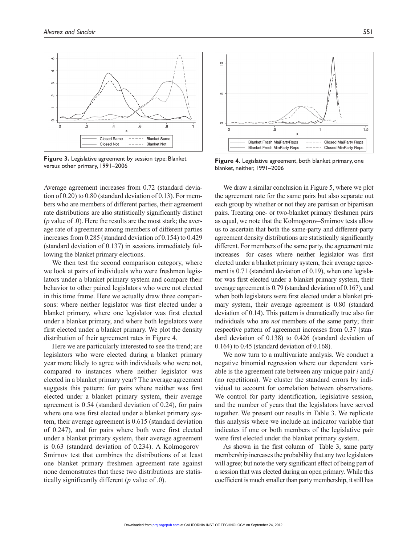

**Figure 3.** Legislative agreement by session type: Blanket **Figure 3.** Legislative agreement by session type: Blanket Figure 4. Legislative agreement, both blanket primary, one<br>Figure 4. Legislative agreement, both blanket primary, one

Average agreement increases from 0.72 (standard deviation of 0.20) to 0.80 (standard deviation of 0.13). For members who are members of different parties, their agreement rate distributions are also statistically significantly distinct (*p* value of .0). Here the results are the most stark; the average rate of agreement among members of different parties increases from 0.285 (standard deviation of 0.154) to 0.429 (standard deviation of 0.137) in sessions immediately following the blanket primary elections.

We then test the second comparison category, where we look at pairs of individuals who were freshmen legislators under a blanket primary system and compare their behavior to other paired legislators who were not elected in this time frame. Here we actually draw three comparisons: where neither legislator was first elected under a blanket primary, where one legislator was first elected under a blanket primary, and where both legislators were first elected under a blanket primary. We plot the density distribution of their agreement rates in Figure 4.

Here we are particularly interested to see the trend; are legislators who were elected during a blanket primary year more likely to agree with individuals who were not, compared to instances where neither legislator was elected in a blanket primary year? The average agreement suggests this pattern: for pairs where neither was first elected under a blanket primary system, their average agreement is 0.54 (standard deviation of 0.24), for pairs where one was first elected under a blanket primary system, their average agreement is 0.615 (standard deviation of 0.247), and for pairs where both were first elected under a blanket primary system, their average agreement is 0.63 (standard deviation of 0.234). A Kolmogorov– Smirnov test that combines the distributions of at least one blanket primary freshmen agreement rate against none demonstrates that these two distributions are statistically significantly different (*p* value of .0).



blanket, neither, 1991–2006

We draw a similar conclusion in Figure 5, where we plot the agreement rate for the same pairs but also separate out each group by whether or not they are partisan or bipartisan pairs. Treating one- or two-blanket primary freshmen pairs as equal, we note that the Kolmogorov–Smirnov tests allow us to ascertain that both the same-party and different-party agreement density distributions are statistically significantly different. For members of the same party, the agreement rate increases—for cases where neither legislator was first elected under a blanket primary system, their average agreement is 0.71 (standard deviation of 0.19), when one legislator was first elected under a blanket primary system, their average agreement is 0.79 (standard deviation of 0.167), and when both legislators were first elected under a blanket primary system, their average agreement is 0.80 (standard deviation of 0.14). This pattern is dramatically true also for individuals who are *not* members of the same party; their respective pattern of agreement increases from 0.37 (standard deviation of 0.138) to 0.426 (standard deviation of 0.164) to 0.45 (standard deviation of 0.168).

We now turn to a multivariate analysis. We conduct a negative binomial regression where our dependent variable is the agreement rate between any unique pair *i* and *j* (no repetitions). We cluster the standard errors by individual to account for correlation between observations. We control for party identification, legislative session, and the number of years that the legislators have served together. We present our results in Table 3. We replicate this analysis where we include an indicator variable that indicates if one or both members of the legislative pair were first elected under the blanket primary system.

As shown in the first column of Table 3, same party membership increases the probability that any two legislators will agree; but note the very significant effect of being part of a session that was elected during an open primary. While this coefficient is much smaller than party membership, it still has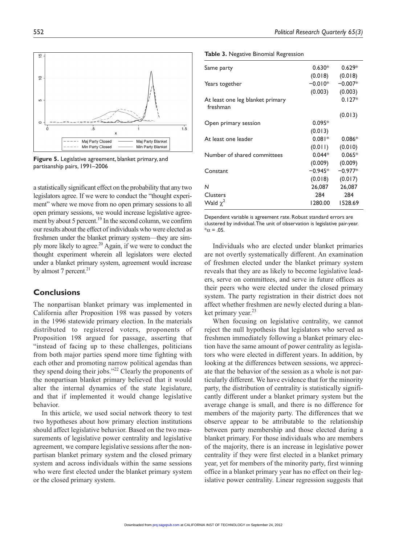

**Figure 5.** Legislative agreement, blanket primary, and partisanship pairs, 1991–2006

a statistically significant effect on the probability that any two legislators agree. If we were to conduct the "thought experiment" where we move from no open primary sessions to all open primary sessions, we would increase legislative agreement by about 5 percent. $19$  In the second column, we confirm our results about the effect of individuals who were elected as freshmen under the blanket primary system—they are simply more likely to agree.<sup>20</sup> Again, if we were to conduct the thought experiment wherein all legislators were elected under a blanket primary system, agreement would increase by almost 7 percent. $21$ 

### **Conclusions**

The nonpartisan blanket primary was implemented in California after Proposition 198 was passed by voters in the 1996 statewide primary election. In the materials distributed to registered voters, proponents of Proposition 198 argued for passage, asserting that "instead of facing up to these challenges, politicians from both major parties spend more time fighting with each other and promoting narrow political agendas than they spend doing their jobs."<sup>22</sup> Clearly the proponents of the nonpartisan blanket primary believed that it would alter the internal dynamics of the state legislature, and that if implemented it would change legislative behavior.

In this article, we used social network theory to test two hypotheses about how primary election institutions should affect legislative behavior. Based on the two measurements of legislative power centrality and legislative agreement, we compare legislative sessions after the nonpartisan blanket primary system and the closed primary system and across individuals within the same sessions who were first elected under the blanket primary system or the closed primary system.

|  |  |  | Table 3. Negative Binomial Regression |
|--|--|--|---------------------------------------|
|--|--|--|---------------------------------------|

| Same party                                   | $0.630*$  | $0.629*$  |
|----------------------------------------------|-----------|-----------|
|                                              | (0.018)   | (0.018)   |
| Years together                               | $-0.010*$ | $-0.007*$ |
|                                              | (0.003)   | (0.003)   |
| At least one leg blanket primary<br>freshman |           | $0.127*$  |
|                                              |           | (0.013)   |
| Open primary session                         | $0.095*$  |           |
|                                              | (0.013)   |           |
| At least one leader                          | $0.081*$  | $0.086*$  |
|                                              | (0.011)   | (0.010)   |
| Number of shared committees                  | $0.044*$  | $0.065*$  |
|                                              | (0.009)   | (0.009)   |
| Constant                                     | $-0.945*$ | $-0.977*$ |
|                                              | (0.018)   | (0.017)   |
| N                                            | 26,087    | 26,087    |
| <b>Clusters</b>                              | 284       | 284       |
| Wald $\chi^2$                                | 1280.00   | 1528.69   |

Dependent variable is agreement rate. Robust standard errors are clustered by individual. The unit of observation is legislative pair-year.  $*\alpha = .05$ .

Individuals who are elected under blanket primaries are not overtly systematically different. An examination of freshmen elected under the blanket primary system reveals that they are as likely to become legislative leaders, serve on committees, and serve in future offices as their peers who were elected under the closed primary system. The party registration in their district does not affect whether freshmen are newly elected during a blanket primary year. $23$ 

When focusing on legislative centrality, we cannot reject the null hypothesis that legislators who served as freshmen immediately following a blanket primary election have the same amount of power centrality as legislators who were elected in different years. In addition, by looking at the differences between sessions, we appreciate that the behavior of the session as a whole is not particularly different. We have evidence that for the minority party, the distribution of centrality is statistically significantly different under a blanket primary system but the average change is small, and there is no difference for members of the majority party. The differences that we observe appear to be attributable to the relationship between party membership and those elected during a blanket primary. For those individuals who are members of the majority, there is an increase in legislative power centrality if they were first elected in a blanket primary year, yet for members of the minority party, first winning office in a blanket primary year has no effect on their legislative power centrality. Linear regression suggests that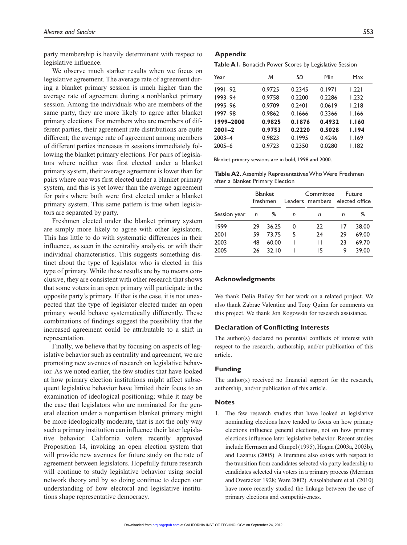party membership is heavily determinant with respect to legislative influence.

We observe much starker results when we focus on legislative agreement. The average rate of agreement during a blanket primary session is much higher than the average rate of agreement during a nonblanket primary session. Among the individuals who are members of the same party, they are more likely to agree after blanket primary elections. For members who are members of different parties, their agreement rate distributions are quite different; the average rate of agreement among members of different parties increases in sessions immediately following the blanket primary elections. For pairs of legislators where neither was first elected under a blanket primary system, their average agreement is lower than for pairs where one was first elected under a blanket primary system, and this is yet lower than the average agreement for pairs where both were first elected under a blanket primary system. This same pattern is true when legislators are separated by party.

Freshmen elected under the blanket primary system are simply more likely to agree with other legislators. This has little to do with systematic differences in their influence, as seen in the centrality analysis, or with their individual characteristics. This suggests something distinct about the type of legislator who is elected in this type of primary. While these results are by no means conclusive, they are consistent with other research that shows that some voters in an open primary will participate in the opposite party's primary. If that is the case, it is not unexpected that the type of legislator elected under an open primary would behave systematically differently. These combinations of findings suggest the possibility that the increased agreement could be attributable to a shift in representation.

Finally, we believe that by focusing on aspects of legislative behavior such as centrality and agreement, we are promoting new avenues of research on legislative behavior. As we noted earlier, the few studies that have looked at how primary election institutions might affect subsequent legislative behavior have limited their focus to an examination of ideological positioning; while it may be the case that legislators who are nominated for the general election under a nonpartisan blanket primary might be more ideologically moderate, that is not the only way such a primary institution can influence their later legislative behavior. California voters recently approved Proposition 14, invoking an open election system that will provide new avenues for future study on the rate of agreement between legislators. Hopefully future research will continue to study legislative behavior using social network theory and by so doing continue to deepen our understanding of how electoral and legislative institutions shape representative democracy.

#### **Appendix**

| Year        | м      | SD     | Min    | Max   |
|-------------|--------|--------|--------|-------|
| $1991 - 92$ | 0.9725 | 0.2345 | 0.1971 | 1.221 |
| 1993-94     | 0.9758 | 0.2200 | 0.2286 | 1.232 |
| 1995-96     | 0.9709 | 0.2401 | 0.0619 | 1.218 |
| 1997-98     | 0.9862 | 0.1666 | 0.3366 | 1.166 |
| 1999-2000   | 0.9825 | 0.1876 | 0.4932 | 1.160 |
| $2001 - 2$  | 0.9753 | 0.2220 | 0.5028 | 1.194 |
| $2003 - 4$  | 0.9823 | 0.1995 | 0.4246 | 1.169 |
| $2005 - 6$  | 0.9723 | 0.2350 | 0.0280 | 1.182 |
|             |        |        |        |       |

Blanket primary sessions are in bold, 1998 and 2000.

**Table A2.** Assembly Representatives Who Were Freshmen after a Blanket Primary Election

|              | <b>Blanket</b><br>freshmen |       | Committee<br>Leaders members elected office |    | <b>Future</b> |       |
|--------------|----------------------------|-------|---------------------------------------------|----|---------------|-------|
| Session year | n                          | ℅     | n                                           | n  | n             | ℅     |
| 1999         | 29                         | 36.25 | 0                                           | 22 | 17            | 38.00 |
| 2001         | 59                         | 73.75 | 5                                           | 24 | 29            | 69.00 |
| 2003         | 48                         | 60.00 |                                             | Н  | 23            | 69.70 |
| 2005         | 26                         | 32.10 |                                             | 15 | 9             | 39.00 |

#### **Acknowledgments**

We thank Delia Bailey for her work on a related project. We also thank Zabrae Valentine and Tony Quinn for comments on this project. We thank Jon Rogowski for research assistance.

#### **Declaration of Conflicting Interests**

The author(s) declared no potential conflicts of interest with respect to the research, authorship, and/or publication of this article.

#### **Funding**

The author(s) received no financial support for the research, authorship, and/or publication of this article.

#### **Notes**

1. The few research studies that have looked at legislative nominating elections have tended to focus on how primary elections influence general elections, not on how primary elections influence later legislative behavior. Recent studies include Herrnson and Gimpel (1995), Hogan (2003a, 2003b), and Lazarus (2005). A literature also exists with respect to the transition from candidates selected via party leadership to candidates selected via voters in a primary process (Merriam and Overacker 1928; Ware 2002). Ansolabehere et al. (2010) have more recently studied the linkage between the use of primary elections and competitiveness.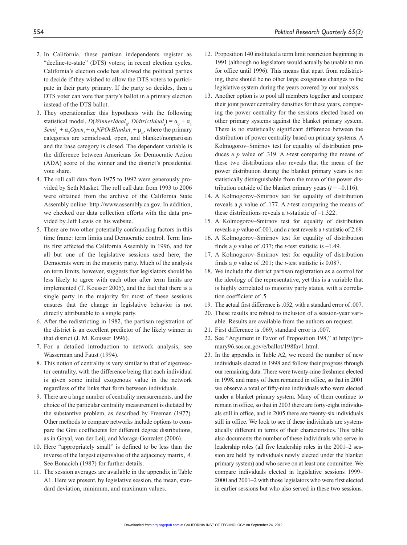- 2. In California, these partisan independents register as "decline-to-state" (DTS) voters; in recent election cycles, California's election code has allowed the political parties to decide if they wished to allow the DTS voters to participate in their party primary. If the party so decides, then a DTS voter can vote that party's ballot in a primary election instead of the DTS ballot.
- 3. They operationalize this hypothesis with the following statistical model,  $D(WinnerIdeal_{i\acute{i}}$ ,  $DidtrictIdeal_{i\acute{i}} = \alpha_{0} + \alpha_{1}$  $Semi_i + \alpha_2 Open_i + \alpha_3 NPOrBlanket_i + \mu_{ii'}$ , where the primary categories are semiclosed, open, and blanket/nonpartisan and the base category is closed. The dependent variable is the difference between Americans for Democratic Action (ADA) score of the winner and the district's presidential vote share.
- 4. The roll call data from 1975 to 1992 were generously provided by Seth Masket. The roll call data from 1993 to 2006 were obtained from the archive of the California State Assembly online: http://www.assembly.ca.gov. In addition, we checked our data collection efforts with the data provided by Jeff Lewis on his website.
- 5. There are two other potentially confounding factors in this time frame: term limits and Democratic control. Term limits first affected the California Assembly in 1996, and for all but one of the legislative sessions used here, the Democrats were in the majority party. Much of the analysis on term limits, however, suggests that legislators should be less likely to agree with each other after term limits are implemented (T. Kousser 2005), and the fact that there is a single party in the majority for most of these sessions ensures that the change in legislative behavior is not directly attributable to a single party.
- 6. After the redistricting in 1982, the partisan registration of the district is an excellent predictor of the likely winner in that district (J. M. Kousser 1996).
- 7. For a detailed introduction to network analysis, see Wasserman and Faust (1994).
- 8. This notion of centrality is very similar to that of eigenvector centrality, with the difference being that each individual is given some initial exogenous value in the network regardless of the links that form between individuals.
- 9. There are a large number of centrality measurements, and the choice of the particular centrality measurement is dictated by the substantive problem, as described by Freeman (1977). Other methods to compare networks include options to compare the Gini coefficients for different degree distributions, as in Goyal, van der Leij, and Moraga-Gonzalez (2006).
- 10. Here "appropriately small" is defined to be less than the inverse of the largest eigenvalue of the adjacency matrix, *A*. See Bonacich (1987) for further details.
- 11. The session averages are available in the appendix in Table A1. Here we present, by legislative session, the mean, standard deviation, minimum, and maximum values.
- 12. Proposition 140 instituted a term limit restriction beginning in 1991 (although no legislators would actually be unable to run for office until 1996). This means that apart from redistricting, there should be no other large exogenous changes to the legislative system during the years covered by our analysis.
- 13. Another option is to pool all members together and compare their joint power centrality densities for these years, comparing the power centrality for the sessions elected based on other primary systems against the blanket primary system. There is no statistically significant difference between the distribution of power centrality based on primary systems. A Kolmogorov–Smirnov test for equality of distribution produces a *p* value of .319. A *t*-test comparing the means of these two distributions also reveals that the mean of the power distribution during the blanket primary years is not statistically distinguishable from the mean of the power distribution outside of the blanket primary years  $(t = -0.116)$ .
- 14. A Kolmogorov–Smirnov test for equality of distribution reveals a *p* value of .177. A *t*-test comparing the means of these distributions reveals a *t*-statistic of –1.322.
- 15. A Kolmogorov–Smirnov test for equality of distribution reveals a *p* value of .001, and a *t*-test reveals a *t*-statistic of 2.69.
- 16. A Kolmogorov–Smirnov test for equality of distribution finds a *p* value of .037; the *t*-test statistic is –1.49.
- 17. A Kolmogorov–Smirnov test for equality of distribution finds a *p* value of .201; the *t*-test statistic is 0.087.
- 18. We include the district partisan registration as a control for the ideology of the representative, yet this is a variable that is highly correlated to majority party status, with a correlation coefficient of .5.
- 19. The actual first difference is .052, with a standard error of .007.
- 20. These results are robust to inclusion of a session-year variable. Results are available from the authors on request.
- 21. First difference is .069, standard error is .007.
- 22. See "Argument in Favor of Proposition 198," at http://primary96.sos.ca.gov/e/ballot/198fav1.html.
- 23. In the appendix in Table A2, we record the number of new individuals elected in 1998 and follow their progress through our remaining data. There were twenty-nine freshmen elected in 1998, and many of them remained in office, so that in 2001 we observe a total of fifty-nine individuals who were elected under a blanket primary system. Many of them continue to remain in office, so that in 2003 there are forty-eight individuals still in office, and in 2005 there are twenty-six individuals still in office. We look to see if these individuals are systematically different in terms of their characteristics. This table also documents the number of these individuals who serve in leadership roles (all five leadership roles in the 2001–2 session are held by individuals newly elected under the blanket primary system) and who serve on at least one committee. We compare individuals elected in legislative sessions 1999– 2000 and 2001–2 with those legislators who were first elected in earlier sessions but who also served in these two sessions.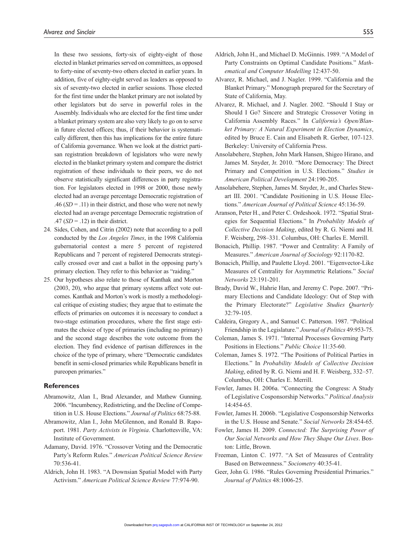In these two sessions, forty-six of eighty-eight of those elected in blanket primaries served on committees, as opposed to forty-nine of seventy-two others elected in earlier years. In addition, five of eighty-eight served as leaders as opposed to six of seventy-two elected in earlier sessions. Those elected for the first time under the blanket primary are not isolated by other legislators but do serve in powerful roles in the Assembly. Individuals who are elected for the first time under a blanket primary system are also very likely to go on to serve in future elected offices; thus, if their behavior is systematically different, then this has implications for the entire future of California governance. When we look at the district partisan registration breakdown of legislators who were newly elected in the blanket primary system and compare the district registration of these individuals to their peers, we do not observe statistically significant differences in party registration. For legislators elected in 1998 or 2000, those newly elected had an average percentage Democratic registration of .46 (*SD* = .11) in their district, and those who were not newly elected had an average percentage Democratic registration of .47 (*SD* = .12) in their district.

- 24. Sides, Cohen, and Citrin (2002) note that according to a poll conducted by the *Los Angeles Times*, in the 1998 California gubernatorial contest a mere 5 percent of registered Republicans and 7 percent of registered Democrats strategically crossed over and cast a ballot in the opposing party's primary election. They refer to this behavior as "raiding."
- 25. Our hypotheses also relate to those of Kanthak and Morton (2003, 20), who argue that primary systems affect vote outcomes. Kanthak and Morton's work is mostly a methodological critique of existing studies; they argue that to estimate the effects of primaries on outcomes it is necessary to conduct a two-stage estimation procedures, where the first stage estimates the choice of type of primaries (including no primary) and the second stage describes the vote outcome from the election. They find evidence of partisan differences in the choice of the type of primary, where "Democratic candidates benefit in semi-closed primaries while Republicans benefit in pureopen primaries."

#### **References**

- Abramowitz, Alan I., Brad Alexander, and Mathew Gunning. 2006. "Incumbency, Redistricting, and the Decline of Competition in U.S. House Elections." *Journal of Politics* 68:75-88.
- Abramowitz, Alan I., John McGlennon, and Ronald B. Rapoport. 1981. *Party Activists in Virginia*. Charlottesville, VA: Institute of Government.
- Adamany, David. 1976. "Crossover Voting and the Democratic Party's Reform Rules." *American Political Science Review* 70:536-41.
- Aldrich, John H. 1983. "A Downsian Spatial Model with Party Activism." *American Political Science Review* 77:974-90.
- Aldrich, John H., and Michael D. McGinnis. 1989. "A Model of Party Constraints on Optimal Candidate Positions." *Mathematical and Computer Modelling* 12:437-50.
- Alvarez, R. Michael, and J. Nagler. 1999. "California and the Blanket Primary." Monograph prepared for the Secretary of State of California, May.
- Alvarez, R. Michael, and J. Nagler. 2002. "Should I Stay or Should I Go? Sincere and Strategic Crossover Voting in California Assembly Races." In *California's Open/Blanket Primary: A Natural Experiment in Election Dynamics*, edited by Bruce E. Cain and Elisabeth R. Gerber, 107-123. Berkeley: University of California Press.
- Ansolabehere, Stephen, John Mark Hansen, Shigeo Hirano, and James M. Snyder, Jr. 2010. "More Democracy: The Direct Primary and Competition in U.S. Elections." *Studies in American Political Development* 24:190-205.
- Ansolabehere, Stephen, James M. Snyder, Jr., and Charles Stewart III. 2001. "Candidate Positioning in U.S. House Elections." *American Journal of Political Science* 45:136-59.
- Aranson, Peter H., and Peter C. Ordeshook. 1972. "Spatial Strategies for Sequential Elections." In *Probability Models of Collective Decision Making*, edited by R. G. Niemi and H. F. Weisberg, 298–331. Columbus, OH: Charles E. Merrill.
- Bonacich, Phillip. 1987. "Power and Centrality: A Family of Measures." *American Journal of Sociology* 92:1170-82.
- Bonacich, Phillip, and Paulette Lloyd. 2001. "Eigenvector-Like Measures of Centrality for Asymmetric Relations." *Social Networks* 23:191-201.
- Brady, David W., Hahrie Han, and Jeremy C. Pope. 2007. "Primary Elections and Candidate Ideology: Out of Step with the Primary Electorate?" *Legislative Studies Quarterly* 32:79-105.
- Caldeira, Gregory A., and Samuel C. Patterson. 1987. "Political Friendship in the Legislature." *Journal of Politics* 49:953-75.
- Coleman, James S. 1971. "Internal Processes Governing Party Positions in Elections." *Public Choice* 11:35-60.
- Coleman, James S. 1972. "The Positions of Political Parties in Elections." In *Probability Models of Collective Decision Making*, edited by R. G. Niemi and H. F. Weisberg, 332–57. Columbus, OH: Charles E. Merrill.
- Fowler, James H. 2006a. "Connecting the Congress: A Study of Legislative Cosponsorship Networks." *Political Analysis* 14:454-65.
- Fowler, James H. 2006b. "Legislative Cosponsorship Networks in the U.S. House and Senate." *Social Networks* 28:454-65.
- Fowler, James H. 2009. *Connected: The Surprising Power of Our Social Networks and How They Shape Our Lives*. Boston: Little, Brown.
- Freeman, Linton C. 1977. "A Set of Measures of Centrality Based on Betweenness." *Sociometry* 40:35-41.
- Geer, John G. 1986. "Rules Governing Presidential Primaries." *Journal of Politics* 48:1006-25.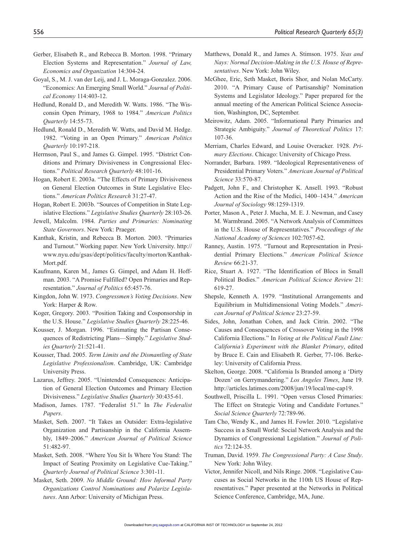- Gerber, Elisabeth R., and Rebecca B. Morton. 1998. "Primary Election Systems and Representation." *Journal of Law, Economics and Organization* 14:304-24.
- Goyal, S., M. J. van der Leij, and J. L. Moraga-Gonzalez. 2006. "Economics: An Emerging Small World." *Journal of Political Economy* 114:403-12.
- Hedlund, Ronald D., and Meredith W. Watts. 1986. "The Wisconsin Open Primary, 1968 to 1984." *American Politics Quarterly* 14:55-73.
- Hedlund, Ronald D., Meredith W. Watts, and David M. Hedge. 1982. "Voting in an Open Primary." *American Politics Quarterly* 10:197-218.
- Herrnson, Paul S., and James G. Gimpel. 1995. "District Conditions and Primary Divisiveness in Congressional Elections." *Political Research Quarterly* 48:101-16.
- Hogan, Robert E. 2003a. "The Effects of Primary Divisiveness on General Election Outcomes in State Legislative Elections." *American Politics Research* 31:27-47.
- Hogan, Robert E. 2003b. "Sources of Competition in State Legislative Elections." *Legislative Studies Quarterly* 28:103-26.
- Jewell, Malcolm. 1984. *Parties and Primaries: Nominating State Governors*. New York: Praeger.
- Kanthak, Kristin, and Rebecca B. Morton. 2003. "Primaries and Turnout." Working paper. New York University. http:// www.nyu.edu/gsas/dept/politics/faculty/morton/Kanthak-Mort.pdf.
- Kaufmann, Karen M., James G. Gimpel, and Adam H. Hoffman. 2003. "A Promise Fulfilled? Open Primaries and Representation." *Journal of Politics* 65:457-76.
- Kingdon, John W. 1973. *Congressmen's Voting Decisions*. New York: Harper & Row.
- Koger, Gregory. 2003. "Position Taking and Cosponsorship in the U.S. House." *Legislative Studies Quarterly* 28:225-46.
- Kousser, J. Morgan. 1996. "Estimating the Partisan Consequences of Redistricting Plans—Simply." *Legislative Studies Quarterly* 21:521-41.
- Kousser, Thad. 2005. *Term Limits and the Dismantling of State Legislative Professionalism*. Cambridge, UK: Cambridge University Press.
- Lazarus, Jeffrey. 2005. "Unintended Consequences: Anticipation of General Election Outcomes and Primary Election Divisiveness." *Legislative Studies Quarterly* 30:435-61.
- Madison, James. 1787. "Federalist 51." In *The Federalist Papers*.
- Masket, Seth. 2007. "It Takes an Outsider: Extra-legislative Organization and Partisanship in the California Assembly, 1849–2006." *American Journal of Political Science* 51:482-97.
- Masket, Seth. 2008. "Where You Sit Is Where You Stand: The Impact of Seating Proximity on Legislative Cue-Taking." *Quarterly Journal of Political Science* 3:301-11.
- Masket, Seth. 2009. *No Middle Ground: How Informal Party Organizations Control Nominations and Polarize Legislatures*. Ann Arbor: University of Michigan Press.
- Matthews, Donald R., and James A. Stimson. 1975. *Yeas and Nays: Normal Decision-Making in the U.S. House of Representatives*. New York: John Wiley.
- McGhee, Eric, Seth Masket, Boris Shor, and Nolan McCarty. 2010. "A Primary Cause of Partisanship? Nomination Systems and Legislator Ideology." Paper prepared for the annual meeting of the American Political Science Association, Washington, DC, September.
- Meirowitz, Adam. 2005. "Informational Party Primaries and Strategic Ambiguity." *Journal of Theoretical Politics* 17: 107-36.
- Merriam, Charles Edward, and Louise Overacker. 1928. *Primary Elections*. Chicago: University of Chicago Press.
- Norrander, Barbara. 1989. "Ideological Representativeness of Presidential Primary Voters." *American Journal of Political Science* 33:570-87.
- Padgett, John F., and Christopher K. Ansell. 1993. "Robust Action and the Rise of the Medici, 1400–1434." *American Journal of Sociology* 98:1259-1319.
- Porter, Mason A., Peter J. Mucha, M. E. J. Newman, and Casey M. Warmbrand. 2005. "A Network Analysis of Committees in the U.S. House of Representatives." *Proceedings of the National Academy of Sciences* 102:7057-62.
- Ranney, Austin. 1975. "Turnout and Representation in Presidential Primary Elections." *American Political Science Review* 66:21-37.
- Rice, Stuart A. 1927. "The Identification of Blocs in Small Political Bodies." *American Political Science Review* 21: 619-27.
- Shepsle, Kenneth A. 1979. "Institutional Arrangements and Equilibrium in Multidimensional Voting Models." *American Journal of Political Science* 23:27-59.
- Sides, John, Jonathan Cohen, and Jack Citrin. 2002. "The Causes and Consequences of Crossover Voting in the 1998 California Elections." In *Voting at the Political Fault Line: California's Experiment with the Blanket Primary*, edited by Bruce E. Cain and Elisabeth R. Gerber, 77-106. Berkeley: University of California Press.
- Skelton, George. 2008. "California Is Branded among a 'Dirty Dozen' on Gerrymandering." *Los Angeles Times*, June 19. http://articles.latimes.com/2008/jun/19/local/me-cap19.
- Southwell, Priscilla L. 1991. "Open versus Closed Primaries: The Effect on Strategic Voting and Candidate Fortunes." *Social Science Quarterly* 72:789-96.
- Tam Cho, Wendy K., and James H. Fowler. 2010. "Legislative Success in a Small World: Social Network Analysis and the Dynamics of Congressional Legislation." *Journal of Politics* 72:124-35.
- Truman, David. 1959. *The Congressional Party: A Case Study*. New York: John Wiley.
- Victor, Jennifer Nicoll, and Nils Ringe. 2008. "Legislative Caucuses as Social Networks in the 110th US House of Representatives." Paper presented at the Networks in Political Science Conference, Cambridge, MA, June.